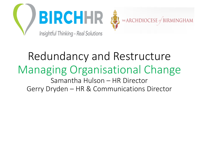



### Redundancy and Restructure Managing Organisational Change Samantha Hulson – HR Director Gerry Dryden – HR & Communications Director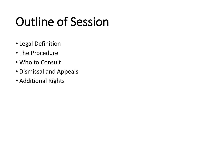### Outline of Session

- Legal Definition
- The Procedure
- Who to Consult
- Dismissal and Appeals
- Additional Rights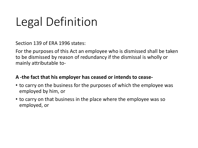### Legal Definition

Section 139 of ERA 1996 states:

For the purposes of this Act an employee who is dismissed shall be taken to be dismissed by reason of redundancy if the dismissal is wholly or mainly attributable to-

#### **A -the fact that his employer has ceased or intends to cease-**

- to carry on the business for the purposes of which the employee was employed by him, or
- to carry on that business in the place where the employee was so employed, or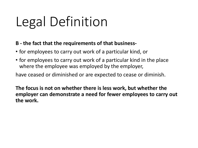# Legal Definition

#### **B - the fact that the requirements of that business-**

- for employees to carry out work of a particular kind, or
- for employees to carry out work of a particular kind in the place where the employee was employed by the employer,

have ceased or diminished or are expected to cease or diminish.

**The focus is not on whether there is less work, but whether the employer can demonstrate a need for fewer employees to carry out the work.**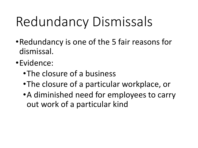# Redundancy Dismissals

- •Redundancy is one of the 5 fair reasons for dismissal.
- •Evidence:
	- •The closure of a business
	- •The closure of a particular workplace, or
	- •A diminished need for employees to carry out work of a particular kind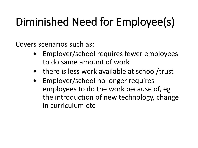### Diminished Need for Employee(s)

Covers scenarios such as:

- Employer/school requires fewer employees to do same amount of work
- there is less work available at school/trust
- Employer/school no longer requires employees to do the work because of, eg the introduction of new technology, change in curriculum etc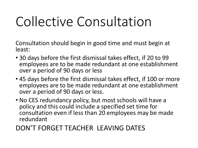# Collective Consultation

Consultation should begin in good time and must begin at least:

- 30 days before the first dismissal takes effect, if 20 to 99 employees are to be made redundant at one establishment over a period of 90 days or less
- 45 days before the first dismissal takes effect, if 100 or more employees are to be made redundant at one establishment over a period of 90 days or less.
- No CES redundancy policy, but most schools will have a policy and this could include a specified set time for consultation even if less than 20 employees may be made redundant

#### DON'T FORGET TEACHER LEAVING DATES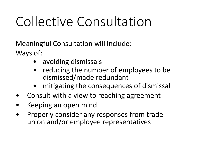# Collective Consultation

Meaningful Consultation will include: Ways of:

- avoiding dismissals
- reducing the number of employees to be dismissed/made redundant
- mitigating the consequences of dismissal
- Consult with a view to reaching agreement
- Keeping an open mind
- Properly consider any responses from trade union and/or employee representatives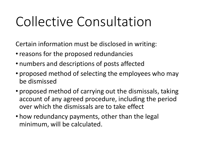# Collective Consultation

Certain information must be disclosed in writing:

- reasons for the proposed redundancies
- numbers and descriptions of posts affected
- proposed method of selecting the employees who may be dismissed
- proposed method of carrying out the dismissals, taking account of any agreed procedure, including the period over which the dismissals are to take effect
- how redundancy payments, other than the legal minimum, will be calculated.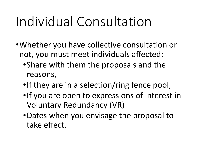# Individual Consultation

- •Whether you have collective consultation or not, you must meet individuals affected:
	- •Share with them the proposals and the reasons,
	- •If they are in a selection/ring fence pool,
	- •If you are open to expressions of interest in Voluntary Redundancy (VR)
	- •Dates when you envisage the proposal to take effect.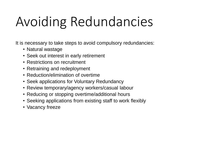# Avoiding Redundancies

It is necessary to take steps to avoid compulsory redundancies:

- Natural wastage
- Seek out interest in early retirement
- Restrictions on recruitment
- Retraining and redeployment
- Reduction/elimination of overtime
- Seek applications for Voluntary Redundancy
- Review temporary/agency workers/casual labour
- Reducing or stopping overtime/additional hours
- Seeking applications from existing staff to work flexibly
- Vacancy freeze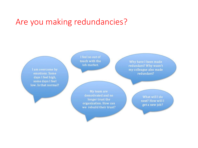#### Are you making redundancies?

I am overcome by emotions. Some days I feel high, some days I feel low. Is that normal?

I feel so out of touch with the iob market.

My team are demotivated and no longer trust the organization. How can we rebuild their trust?

Why have I been made redundant? Why wasn't my colleague also made redundant?

> What will I do next? How will I get a new job?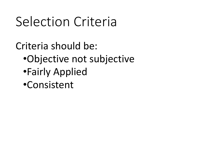### Selection Criteria

Criteria should be: •Objective not subjective •Fairly Applied •Consistent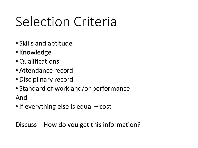# Selection Criteria

- Skills and aptitude
- Knowledge
- Qualifications
- Attendance record
- Disciplinary record
- Standard of work and/or performance And
- If everything else is equal cost

Discuss – How do you get this information?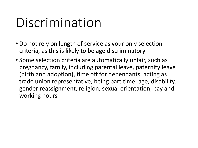### Discrimination

- Do not rely on length of service as your only selection criteria, as this is likely to be age discriminatory
- Some selection criteria are automatically unfair, such as pregnancy, family, including parental leave, paternity leave (birth and adoption), time off for dependants, acting as trade union representative, being part time, age, disability, gender reassignment, religion, sexual orientation, pay and working hours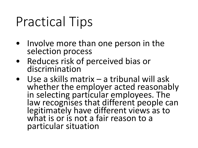## Practical Tips

- Involve more than one person in the selection process
- Reduces risk of perceived bias or discrimination
- Use a skills matrix a tribunal will ask whether the employer acted reasonably in selecting particular employees. The law recognises that different people can legitimately have different views as to what is or is not a fair reason to a particular situation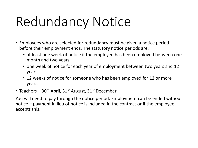# Redundancy Notice

- Employees who are selected for redundancy must be given a notice period before their employment ends. The statutory notice periods are:
	- at least one week of notice if the employee has been employed between one month and two years
	- one week of notice for each year of employment between two years and 12 years
	- 12 weeks of notice for someone who has been employed for 12 or more years.
- Teachers  $30<sup>th</sup>$  April,  $31<sup>st</sup>$  August,  $31<sup>st</sup>$  December

You will need to pay through the notice period. Employment can be ended without notice if payment in lieu of notice is included in the contract or if the employee accepts this.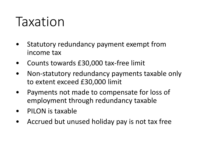### Taxation

- Statutory redundancy payment exempt from income tax
- Counts towards £30,000 tax-free limit
- Non-statutory redundancy payments taxable only to extent exceed £30,000 limit
- Payments not made to compensate for loss of employment through redundancy taxable
- PILON is taxable
- Accrued but unused holiday pay is not tax free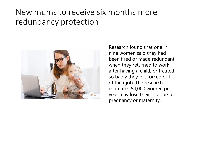#### New mums to receive six months more redundancy protection



Research found that one in nine women said they had been fired or made redundant when they returned to work after having a child, or treated so badly they felt forced out of their job. The research estimates 54,000 women per year may lose their job due to pregnancy or maternity.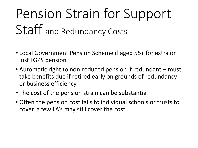# Pension Strain for Support Staff and Redundancy Costs

- Local Government Pension Scheme if aged 55+ for extra or lost LGPS pension
- Automatic right to non-reduced pension if redundant must take benefits due if retired early on grounds of redundancy or business efficiency
- The cost of the pension strain can be substantial
- Often the pension cost falls to individual schools or trusts to cover, a few LA's may still cover the cost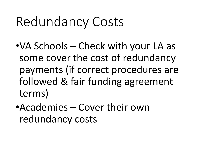### Redundancy Costs

- •VA Schools Check with your LA as some cover the cost of redundancy payments (if correct procedures are followed & fair funding agreement terms)
- •Academies Cover their own redundancy costs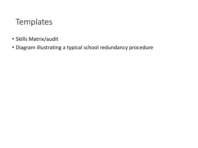### **Templates**

- Skills Matrix/audit
- Diagram illustrating a typical school redundancy procedure